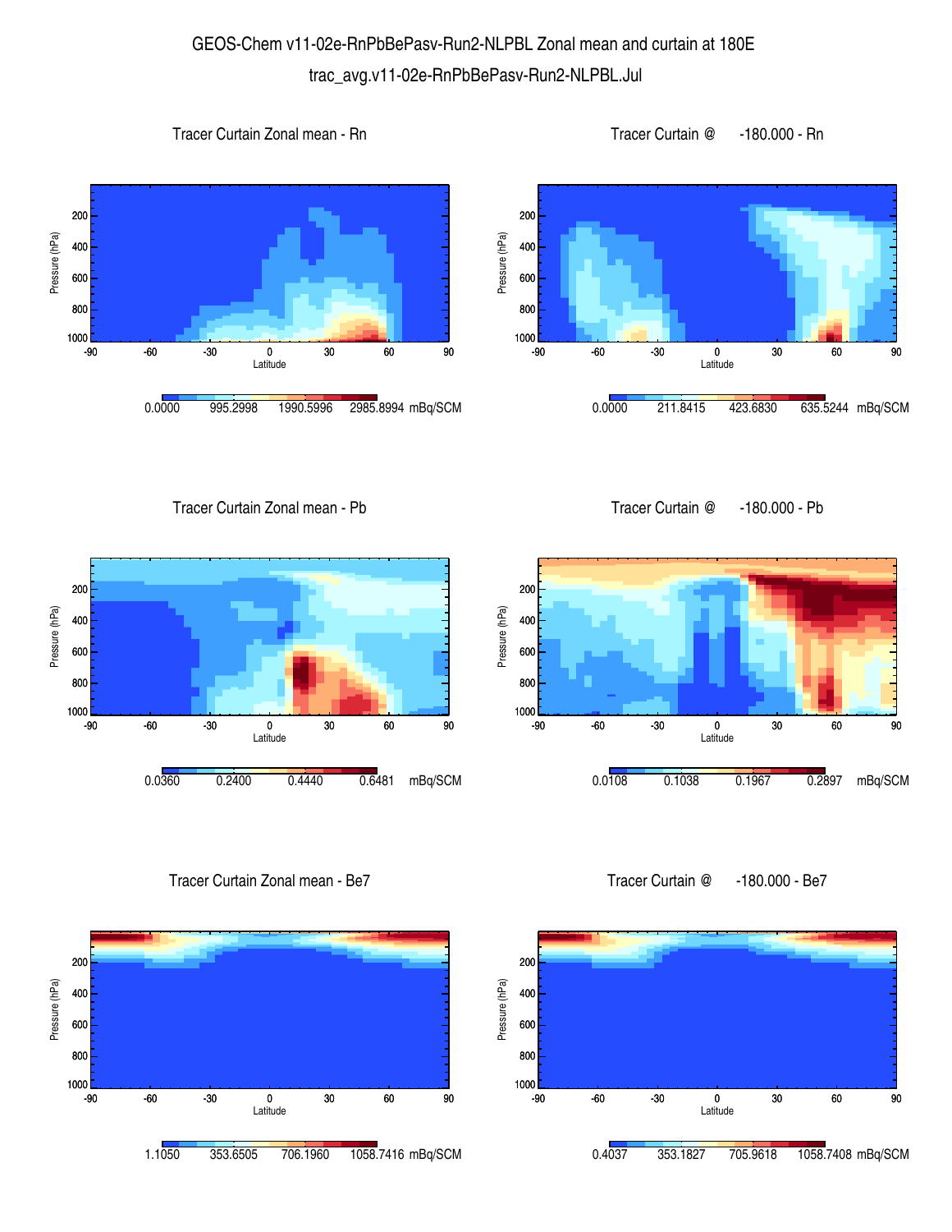## GEOS-Chem v11-02e-RnPbBePasv-Run2-NLPBL Zonal mean and curtain at 180E trac\_avg.v11-02e-RnPbBePasv-Run2-NLPBL.Jul







Tracer Curtain Zonal mean - Pb



Tracer Curtain Zonal mean - Be7



Tracer Curtain @ -180.000 - Pb



Tracer Curtain @ -180.000 - Be7